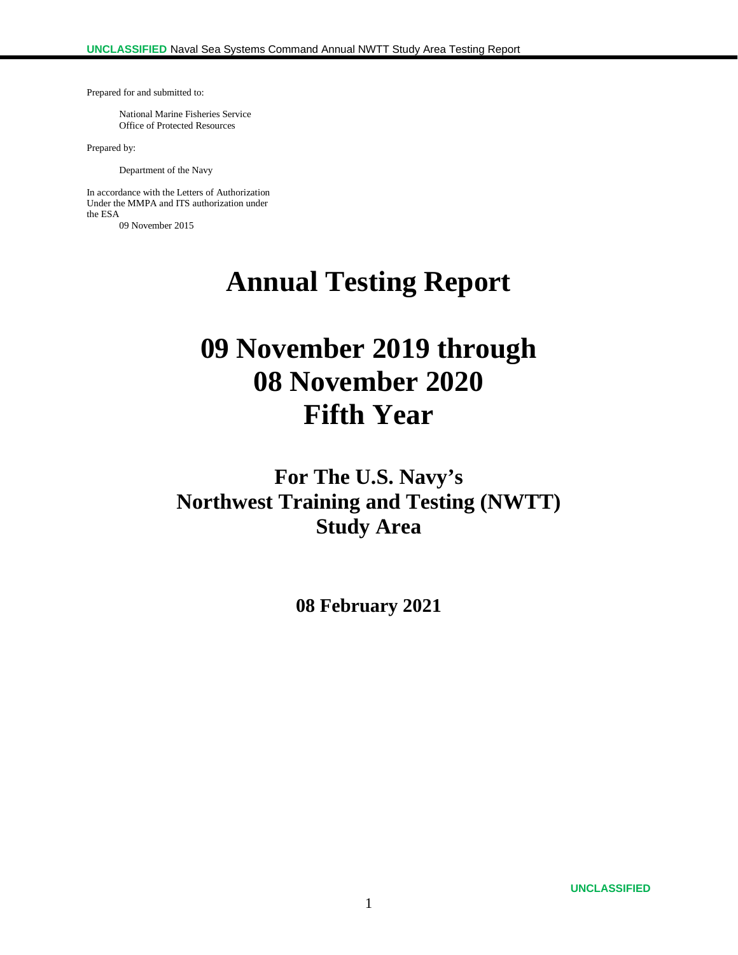Prepared for and submitted to:

National Marine Fisheries Service Office of Protected Resources

Prepared by:

Department of the Navy

In accordance with the Letters of Authorization Under the MMPA and ITS authorization under the ESA 09 November 2015

**Annual Testing Report**

# **09 November 2019 through 08 November 2020 Fifth Year**

**For The U.S. Navy's Northwest Training and Testing (NWTT) Study Area**

**08 February 2021**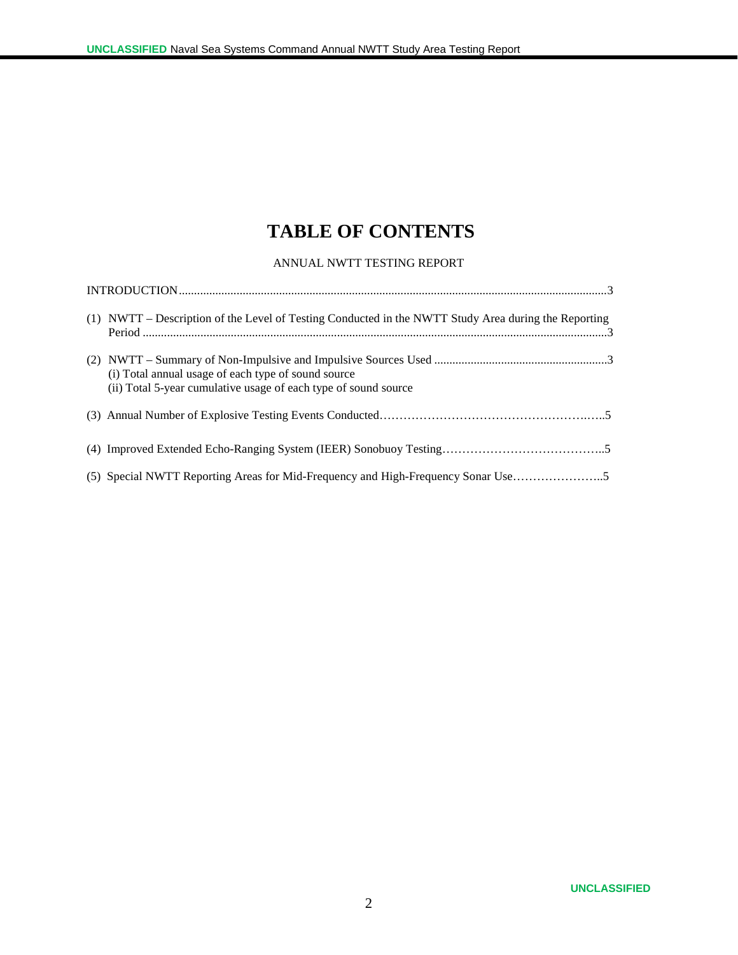# **TABLE OF CONTENTS**

#### ANNUAL NWTT TESTING REPORT

| (1) NWTT – Description of the Level of Testing Conducted in the NWTT Study Area during the Reporting                   |
|------------------------------------------------------------------------------------------------------------------------|
| (i) Total annual usage of each type of sound source<br>(ii) Total 5-year cumulative usage of each type of sound source |
|                                                                                                                        |
|                                                                                                                        |
|                                                                                                                        |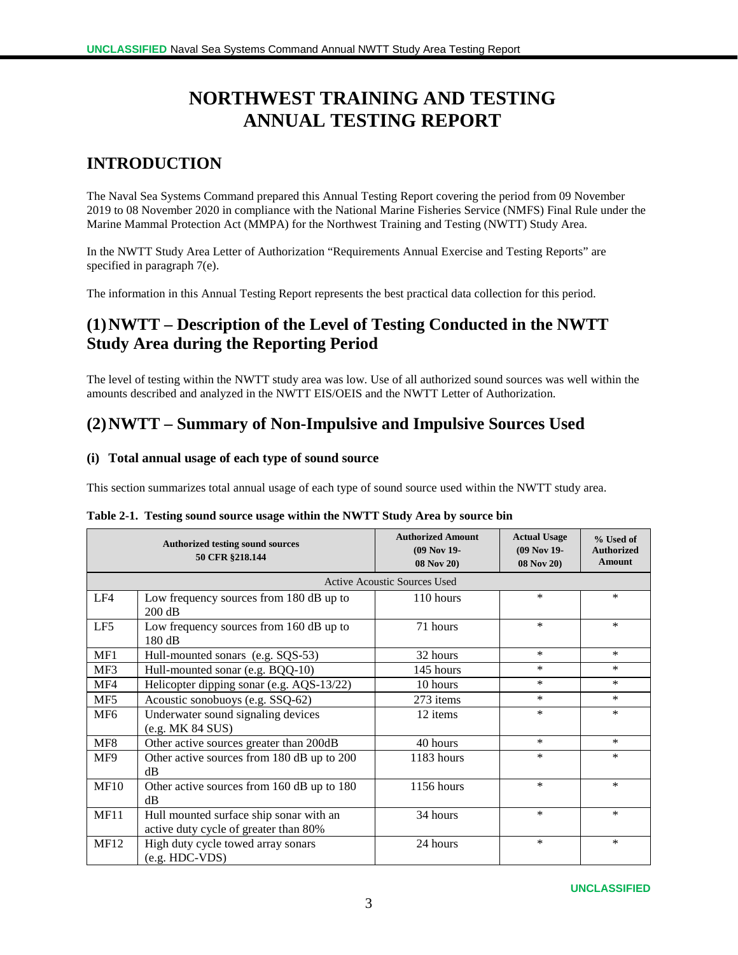# **NORTHWEST TRAINING AND TESTING ANNUAL TESTING REPORT**

## **INTRODUCTION**

The Naval Sea Systems Command prepared this Annual Testing Report covering the period from 09 November 2019 to 08 November 2020 in compliance with the National Marine Fisheries Service (NMFS) Final Rule under the Marine Mammal Protection Act (MMPA) for the Northwest Training and Testing (NWTT) Study Area.

In the NWTT Study Area Letter of Authorization "Requirements Annual Exercise and Testing Reports" are specified in paragraph 7(e).

The information in this Annual Testing Report represents the best practical data collection for this period.

# **(1)NWTT – Description of the Level of Testing Conducted in the NWTT Study Area during the Reporting Period**

The level of testing within the NWTT study area was low. Use of all authorized sound sources was well within the amounts described and analyzed in the NWTT EIS/OEIS and the NWTT Letter of Authorization.

### **(2)NWTT – Summary of Non-Impulsive and Impulsive Sources Used**

#### **(i) Total annual usage of each type of sound source**

This section summarizes total annual usage of each type of sound source used within the NWTT study area.

|                 | <b>Authorized testing sound sources</b><br>50 CFR §218.144                       | <b>Authorized Amount</b><br>(09 Nov 19-<br>08 Nov 20) | <b>Actual Usage</b><br>(09 Nov 19-<br>08 Nov 20) | % Used of<br><b>Authorized</b><br><b>Amount</b> |
|-----------------|----------------------------------------------------------------------------------|-------------------------------------------------------|--------------------------------------------------|-------------------------------------------------|
|                 |                                                                                  | <b>Active Acoustic Sources Used</b>                   |                                                  |                                                 |
| LF4             | Low frequency sources from 180 dB up to<br>$200$ dB                              | 110 hours                                             | $\ast$                                           | $\ast$                                          |
| LF5             | Low frequency sources from 160 dB up to<br>$180 \text{ dB}$                      | 71 hours                                              | $\ast$                                           | $\ast$                                          |
| MF1             | Hull-mounted sonars (e.g. SQS-53)                                                | 32 hours                                              | $\ast$                                           | $\ast$                                          |
| MF3             | Hull-mounted sonar (e.g. BQQ-10)                                                 | 145 hours                                             | *                                                | $\ast$                                          |
| MF4             | Helicopter dipping sonar (e.g. AQS-13/22)                                        | 10 hours                                              | *                                                | $\ast$                                          |
| MF5             | Acoustic sonobuoys (e.g. SSQ-62)                                                 | 273 items                                             | *                                                | $\ast$                                          |
| MF <sub>6</sub> | Underwater sound signaling devices<br>(e.g. MK 84 SUS)                           | 12 items                                              | $\ast$                                           | $\ast$                                          |
| MF8             | Other active sources greater than 200dB                                          | 40 hours                                              | $\ast$                                           | $\ast$                                          |
| MF9             | Other active sources from 180 dB up to 200<br>dB                                 | 1183 hours                                            | $\ast$                                           | $\ast$                                          |
| <b>MF10</b>     | Other active sources from 160 dB up to 180<br>dB                                 | 1156 hours                                            | $\ast$                                           | $\ast$                                          |
| <b>MF11</b>     | Hull mounted surface ship sonar with an<br>active duty cycle of greater than 80% | 34 hours                                              | $\ast$                                           | $\ast$                                          |
| <b>MF12</b>     | High duty cycle towed array sonars<br>(e.g. HDC-VDS)                             | 24 hours                                              | $\ast$                                           | $\ast$                                          |

|  |  |  | Table 2-1. Testing sound source usage within the NWTT Study Area by source bin |
|--|--|--|--------------------------------------------------------------------------------|
|--|--|--|--------------------------------------------------------------------------------|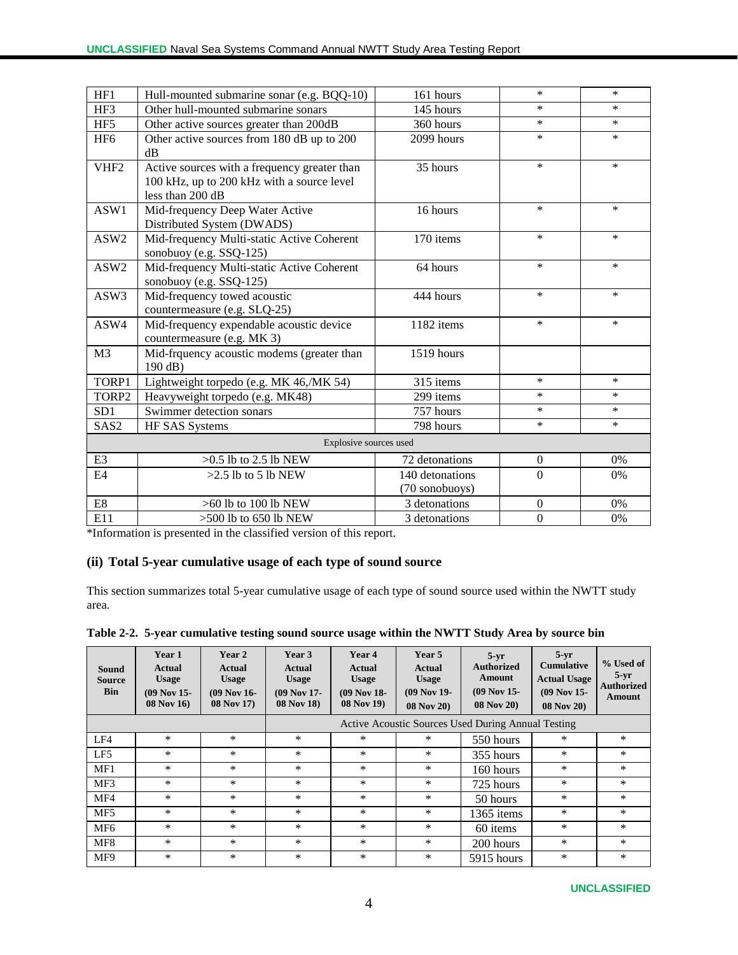| HF1              | Hull-mounted submarine sonar (e.g. BQQ-10)                                                                     | 161 hours       | $\ast$           | $\ast$ |
|------------------|----------------------------------------------------------------------------------------------------------------|-----------------|------------------|--------|
| HF3              | Other hull-mounted submarine sonars                                                                            | 145 hours       | $\ast$           | $\ast$ |
| HF5              | Other active sources greater than 200dB                                                                        | 360 hours       | $\ast$           | $\ast$ |
| HF <sub>6</sub>  | Other active sources from 180 dB up to 200<br>$\rm dB$                                                         | 2099 hours      | $\ast$           | $\ast$ |
| VHF <sub>2</sub> | Active sources with a frequency greater than<br>100 kHz, up to 200 kHz with a source level<br>less than 200 dB | 35 hours        | $\ast$           | $\ast$ |
| ASW1             | Mid-frequency Deep Water Active<br>Distributed System (DWADS)                                                  | 16 hours        | $\ast$           | $\ast$ |
| ASW2             | Mid-frequency Multi-static Active Coherent<br>sonobuoy (e.g. SSQ-125)                                          | 170 items       | $\ast$           | $\ast$ |
| ASW2             | Mid-frequency Multi-static Active Coherent<br>sonobuoy (e.g. SSQ-125)                                          | 64 hours        | $\ast$           | $\ast$ |
| ASW3             | Mid-frequency towed acoustic<br>countermeasure (e.g. SLQ-25)                                                   | 444 hours       | $\ast$           | $\ast$ |
| ASW4             | Mid-frequency expendable acoustic device<br>countermeasure (e.g. MK 3)                                         | 1182 items      | $\ast$           | $\ast$ |
| M <sub>3</sub>   | Mid-frquency acoustic modems (greater than<br>190 dB)                                                          | 1519 hours      |                  |        |
| TORP1            | Lightweight torpedo (e.g. MK 46,/MK 54)                                                                        | 315 items       | $\ast$           | $\ast$ |
| TORP2            | Heavyweight torpedo (e.g. MK48)                                                                                | 299 items       | $\ast$           | $\ast$ |
| SD1              | Swimmer detection sonars                                                                                       | 757 hours       | *                | $\ast$ |
| SAS <sub>2</sub> | HF SAS Systems                                                                                                 | 798 hours       | $\ast$           | $\ast$ |
|                  | Explosive sources used                                                                                         |                 |                  |        |
| E <sub>3</sub>   | $>0.5$ lb to 2.5 lb $\overline{\text{NEW}}$                                                                    | 72 detonations  | $\overline{0}$   | 0%     |
| E <sub>4</sub>   | $>2.5$ lb to 5 lb NEW                                                                                          | 140 detonations | $\mathbf{0}$     | 0%     |
|                  |                                                                                                                | (70 sonobuoys)  |                  |        |
| E8               | $>60$ lb to 100 lb NEW                                                                                         | 3 detonations   | $\boldsymbol{0}$ | 0%     |
| E11              | $>500$ lb to 650 lb NEW                                                                                        | 3 detonations   | $\boldsymbol{0}$ | 0%     |

\*Information is presented in the classified version of this report.

#### **(ii) Total 5-year cumulative usage of each type of sound source**

This section summarizes total 5-year cumulative usage of each type of sound source used within the NWTT study area.

| Sound<br><b>Source</b><br><b>Bin</b> | Year 1<br><b>Actual</b><br><b>Usage</b><br>$(09$ Nov 15-<br><b>08 Nov 16</b> | Year 2<br>Actual<br><b>Usage</b><br>$(09$ Nov 16-<br>08 Nov 17) | Year 3<br>Actual<br><b>Usage</b><br>$(09$ Nov 17-<br><b>08 Nov 18)</b> | Year 4<br><b>Actual</b><br><b>Usage</b><br>$(09$ Nov 18-<br><b>08 Nov 19)</b> | Year 5<br><b>Actual</b><br><b>Usage</b><br>$(09$ Nov 19-<br>08 Nov 20) | $5 - yr$<br><b>Authorized</b><br>Amount<br>$(09$ Nov 15-<br><b>08 Nov 20</b> ) | $5-vr$<br><b>Cumulative</b><br><b>Actual Usage</b><br>$(09$ Nov 15-<br><b>08 Nov 20</b> | % Used of<br>$5-yr$<br><b>Authorized</b><br>Amount |
|--------------------------------------|------------------------------------------------------------------------------|-----------------------------------------------------------------|------------------------------------------------------------------------|-------------------------------------------------------------------------------|------------------------------------------------------------------------|--------------------------------------------------------------------------------|-----------------------------------------------------------------------------------------|----------------------------------------------------|
|                                      |                                                                              |                                                                 | Active Acoustic Sources Used During Annual Testing                     |                                                                               |                                                                        |                                                                                |                                                                                         |                                                    |
| LF4                                  | $\ast$                                                                       | $\ast$                                                          | $\ast$                                                                 | $\ast$                                                                        | $\ast$                                                                 | 550 hours                                                                      | $\ast$                                                                                  | *                                                  |
| LF5                                  | $\ast$                                                                       | $\ast$                                                          | $\ast$                                                                 | $\ast$                                                                        | $\ast$                                                                 | 355 hours                                                                      | $\ast$                                                                                  | $\ast$                                             |
| MF1                                  | $\ast$                                                                       | $\ast$                                                          | *                                                                      | $\ast$                                                                        | *                                                                      | 160 hours                                                                      | *                                                                                       | *                                                  |
| MF3                                  | $\ast$                                                                       | $\ast$                                                          | $\ast$                                                                 | $\ast$                                                                        | *                                                                      | 725 hours                                                                      | *                                                                                       | $\ast$                                             |
| MF4                                  | *                                                                            | $\ast$                                                          | $\ast$                                                                 | $\ast$                                                                        | *                                                                      | 50 hours                                                                       | *                                                                                       | *                                                  |
| MF <sub>5</sub>                      | $\ast$                                                                       | $\ast$                                                          | $\ast$                                                                 | $\ast$                                                                        | $\ast$                                                                 | 1365 items                                                                     | $\ast$                                                                                  | $\ast$                                             |
| MF <sub>6</sub>                      | $\ast$                                                                       | $\ast$                                                          | $\ast$                                                                 | $\ast$                                                                        | *                                                                      | 60 items                                                                       | *                                                                                       | $\ast$                                             |
| MF <sub>8</sub>                      | $\ast$                                                                       | $\ast$                                                          | $\ast$                                                                 | $\ast$                                                                        | $\ast$                                                                 | 200 hours                                                                      | $\ast$                                                                                  | $\ast$                                             |
| MF9                                  | $\ast$                                                                       | $\ast$                                                          | *                                                                      | $\ast$                                                                        | *                                                                      | 5915 hours                                                                     | *                                                                                       | $\ast$                                             |
|                                      |                                                                              |                                                                 |                                                                        |                                                                               |                                                                        |                                                                                |                                                                                         |                                                    |

**Table 2-2. 5-year cumulative testing sound source usage within the NWTT Study Area by source bin**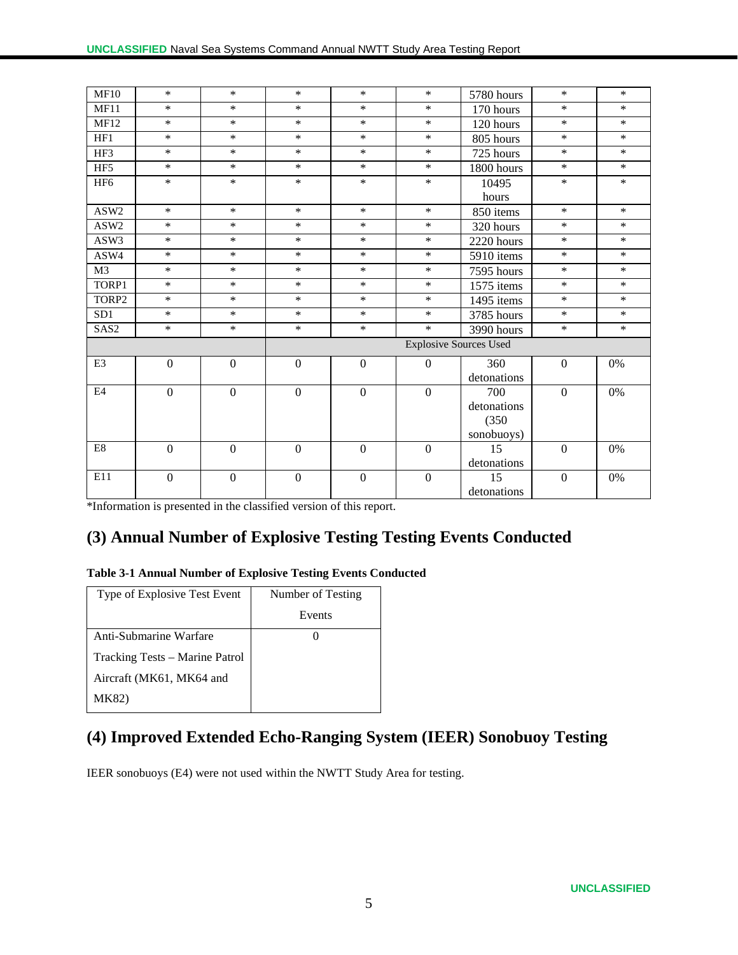| <b>MF10</b>      | $\ast$         | $\ast$           | $\ast$                        | $\ast$           | $\ast$       | 5780 hours  | $\ast$           | $\ast$ |
|------------------|----------------|------------------|-------------------------------|------------------|--------------|-------------|------------------|--------|
| MF11             | $\ast$         | $\ast$           | $\ast$                        | $\ast$           | $\ast$       | 170 hours   | $\ast$           | $\ast$ |
| <b>MF12</b>      | $\ast$         | $\ast$           | $\ast$                        | $\ast$           | $\ast$       | 120 hours   | $\ast$           | $\ast$ |
| HF1              | $\ast$         | $\ast$           | $\ast$                        | $\ast$           | $*$          | 805 hours   | $\ast$           | $\ast$ |
| HF3              | $\ast$         | $\ast$           | $\ast$                        | $\ast$           | $\ast$       | 725 hours   | $\ast$           | $\ast$ |
| HF5              | $\ast$         | $\ast$           | $\ast$                        | $\ast$           | $\ast$       | 1800 hours  | $\ast$           | $\ast$ |
| HF <sub>6</sub>  | $\ast$         | $\ast$           | $\ast$                        | $\ast$           | $\ast$       | 10495       | $\ast$           | $\ast$ |
|                  |                |                  |                               |                  |              | hours       |                  |        |
| ASW2             | $\ast$         | $\ast$           | $\ast$                        | $\ast$           | $\ast$       | 850 items   | $\ast$           | $\ast$ |
| ASW2             | $\ast$         | $\ast$           | $\ast$                        | $\ast$           | $*$          | 320 hours   | $\ast$           | $\ast$ |
| ASW3             | $\ast$         | $\ast$           | $\ast$                        | $\ast$           | $\ast$       | 2220 hours  | $\ast$           | $\ast$ |
| ASW4             | $\ast$         | $\ast$           | $\ast$                        | $\ast$           | $\ast$       | 5910 items  | $\ast$           | $\ast$ |
| M <sub>3</sub>   | $\ast$         | $\ast$           | $\ast$                        | $\ast$           | $\ast$       | 7595 hours  | $\ast$           | $\ast$ |
| TORP1            | $\ast$         | $\ast$           | $\ast$                        | $\ast$           | $\ast$       | 1575 items  | $\ast$           | $\ast$ |
| TORP2            | $\ast$         | $\ast$           | $\ast$                        | $\ast$           | $\ast$       | 1495 items  | $\ast$           | $\ast$ |
| SD1              | $\ast$         | $\ast$           | $\ast$                        | $\ast$           | $\ast$       | 3785 hours  | $\ast$           | $\ast$ |
| SAS <sub>2</sub> | $\ast$         | $\ast$           | $\ast$                        | $\ast$           | $\ast$       | 3990 hours  | $\ast$           | $\ast$ |
|                  |                |                  | <b>Explosive Sources Used</b> |                  |              |             |                  |        |
| E <sub>3</sub>   | $\mathbf{0}$   | $\Omega$         | $\mathbf{0}$                  | $\Omega$         | $\Omega$     | 360         | $\Omega$         | 0%     |
|                  |                |                  |                               |                  |              | detonations |                  |        |
| E4               | $\mathbf{0}$   | $\Omega$         | $\boldsymbol{0}$              | $\boldsymbol{0}$ | $\Omega$     | 700         | $\Omega$         | 0%     |
|                  |                |                  |                               |                  |              | detonations |                  |        |
|                  |                |                  |                               |                  |              | (350)       |                  |        |
|                  |                |                  |                               |                  |              | sonobuoys)  |                  |        |
| $\rm E8$         | $\overline{0}$ | $\overline{0}$   | $\boldsymbol{0}$              | $\overline{0}$   | $\mathbf{0}$ | 15          | $\overline{0}$   | 0%     |
|                  |                |                  |                               |                  |              | detonations |                  |        |
| E11              | $\overline{0}$ | $\boldsymbol{0}$ | $\boldsymbol{0}$              | $\boldsymbol{0}$ | $\mathbf{0}$ | 15          | $\boldsymbol{0}$ | 0%     |
|                  |                |                  |                               |                  |              | detonations |                  |        |

\*Information is presented in the classified version of this report.

# **(3) Annual Number of Explosive Testing Testing Events Conducted**

#### **Table 3-1 Annual Number of Explosive Testing Events Conducted**

| Type of Explosive Test Event   | Number of Testing |
|--------------------------------|-------------------|
|                                | Events            |
| Anti-Submarine Warfare         |                   |
| Tracking Tests – Marine Patrol |                   |
| Aircraft (MK61, MK64 and       |                   |
| MK82)                          |                   |

# **(4) Improved Extended Echo-Ranging System (IEER) Sonobuoy Testing**

IEER sonobuoys (E4) were not used within the NWTT Study Area for testing.